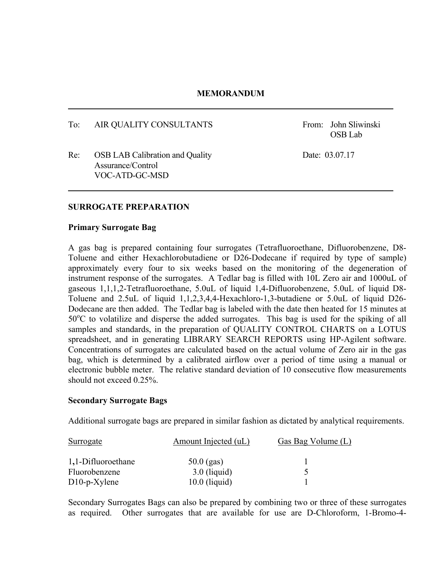#### **MEMORANDUM**

To: AIR QUALITY CONSULTANTS From: John Sliwinski

OSB Lab

Re: OSB LAB Calibration and Quality Date: 03.07.17 Assurance/Control VOC-ATD-GC-MSD

#### **SURROGATE PREPARATION**

#### **Primary Surrogate Bag**

A gas bag is prepared containing four surrogates (Tetrafluoroethane, Difluorobenzene, D8- Toluene and either Hexachlorobutadiene or D26-Dodecane if required by type of sample) approximately every four to six weeks based on the monitoring of the degeneration of instrument response of the surrogates. A Tedlar bag is filled with 10L Zero air and 1000uL of gaseous 1,1,1,2-Tetrafluoroethane, 5.0uL of liquid 1,4-Difluorobenzene, 5.0uL of liquid D8- Toluene and 2.5uL of liquid 1,1,2,3,4,4-Hexachloro-1,3-butadiene or 5.0uL of liquid D26- Dodecane are then added. The Tedlar bag is labeled with the date then heated for 15 minutes at 50°C to volatilize and disperse the added surrogates. This bag is used for the spiking of all samples and standards, in the preparation of QUALITY CONTROL CHARTS on a LOTUS spreadsheet, and in generating LIBRARY SEARCH REPORTS using HP-Agilent software. Concentrations of surrogates are calculated based on the actual volume of Zero air in the gas bag, which is determined by a calibrated airflow over a period of time using a manual or electronic bubble meter. The relative standard deviation of 10 consecutive flow measurements should not exceed 0.25%.

#### **Secondary Surrogate Bags**

Additional surrogate bags are prepared in similar fashion as dictated by analytical requirements.

| Surrogate          | Amount Injected (uL) | Gas Bag Volume (L) |
|--------------------|----------------------|--------------------|
| 1,1-Difluoroethane | $50.0$ (gas)         |                    |
| Fluorobenzene      | $3.0$ (liquid)       |                    |
| $D10-p-X$ ylene    | $10.0$ (liquid)      |                    |

Secondary Surrogates Bags can also be prepared by combining two or three of these surrogates as required. Other surrogates that are available for use are D-Chloroform, 1-Bromo-4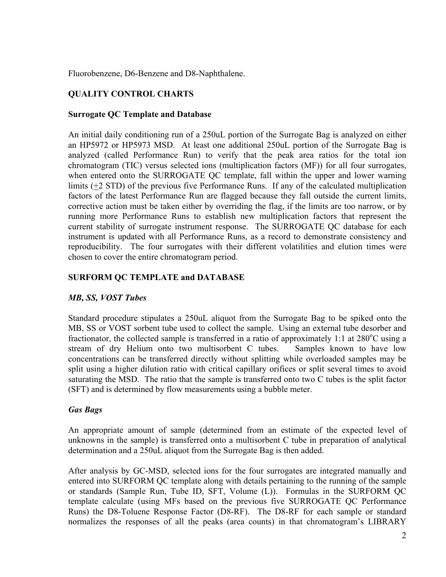Fluorobenzene, D6-Benzene and D8-Naphthalene.

# **QUALITY CONTROL CHARTS**

### **Surrogate QC Template and Database**

An initial daily conditioning run of a 250uL portion of the Surrogate Bag is analyzed on either an HP5972 or HP5973 MSD. At least one additional 250uL portion of the Surrogate Bag is analyzed (called Performance Run) to verify that the peak area ratios for the total ion chromatogram (TIC) versus selected ions (multiplication factors (MF)) for all four surrogates, when entered onto the SURROGATE QC template, fall within the upper and lower warning limits (+2 STD) of the previous five Performance Runs. If any of the calculated multiplication factors of the latest Performance Run are flagged because they fall outside the current limits, corrective action must be taken either by overriding the flag, if the limits are too narrow, or by running more Performance Runs to establish new multiplication factors that represent the current stability of surrogate instrument response. The SURROGATE QC database for each instrument is updated with all Performance Runs, as a record to demonstrate consistency and reproducibility. The four surrogates with their different volatilities and elution times were chosen to cover the entire chromatogram period.

## **SURFORM QC TEMPLATE and DATABASE**

## *MB, SS, VOST Tubes*

Standard procedure stipulates a 250uL aliquot from the Surrogate Bag to be spiked onto the MB, SS or VOST sorbent tube used to collect the sample. Using an external tube desorber and fractionator, the collected sample is transferred in a ratio of approximately 1:1 at 280°C using a stream of dry Helium onto two multisorbent C tubes. Samples known to have low concentrations can be transferred directly without splitting while overloaded samples may be split using a higher dilution ratio with critical capillary orifices or split several times to avoid saturating the MSD. The ratio that the sample is transferred onto two C tubes is the split factor (SFT) and is determined by flow measurements using a bubble meter.

## *Gas Bags*

An appropriate amount of sample (determined from an estimate of the expected level of unknowns in the sample) is transferred onto a multisorbent C tube in preparation of analytical determination and a 250uL aliquot from the Surrogate Bag is then added.

After analysis by GC-MSD, selected ions for the four surrogates are integrated manually and entered into SURFORM QC template along with details pertaining to the running of the sample or standards (Sample Run, Tube ID, SFT, Volume (L)). Formulas in the SURFORM QC template calculate (using MFs based on the previous five SURROGATE QC Performance Runs) the D8-Toluene Response Factor (D8-RF). The D8-RF for each sample or standard normalizes the responses of all the peaks (area counts) in that chromatogram's LIBRARY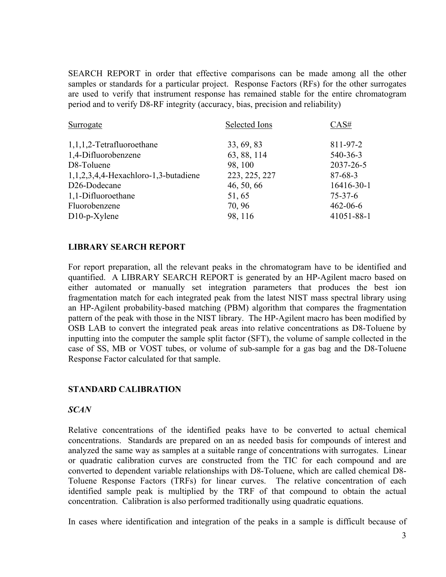SEARCH REPORT in order that effective comparisons can be made among all the other samples or standards for a particular project. Response Factors (RFs) for the other surrogates are used to verify that instrument response has remained stable for the entire chromatogram period and to verify D8-RF integrity (accuracy, bias, precision and reliability)

| Surrogate                                    | Selected Ions | CAS#           |
|----------------------------------------------|---------------|----------------|
| $1,1,1,2$ -Tetrafluoroethane                 | 33, 69, 83    | 811-97-2       |
| 1,4-Difluorobenzene                          | 63, 88, 114   | 540-36-3       |
| D8-Toluene                                   | 98, 100       | 2037-26-5      |
| $1, 1, 2, 3, 4, 4$ -Hexachloro-1,3-butadiene | 223, 225, 227 | $87 - 68 - 3$  |
| D <sub>26</sub> -Dodecane                    | 46, 50, 66    | 16416-30-1     |
| 1,1-Difluoroethane                           | 51,65         | $75 - 37 - 6$  |
| Fluorobenzene                                | 70, 96        | $462 - 06 - 6$ |
| $D10-p-X$ ylene                              | 98, 116       | 41051-88-1     |

#### **LIBRARY SEARCH REPORT**

For report preparation, all the relevant peaks in the chromatogram have to be identified and quantified. A LIBRARY SEARCH REPORT is generated by an HP-Agilent macro based on either automated or manually set integration parameters that produces the best ion fragmentation match for each integrated peak from the latest NIST mass spectral library using an HP-Agilent probability-based matching (PBM) algorithm that compares the fragmentation pattern of the peak with those in the NIST library. The HP-Agilent macro has been modified by OSB LAB to convert the integrated peak areas into relative concentrations as D8-Toluene by inputting into the computer the sample split factor (SFT), the volume of sample collected in the case of SS, MB or VOST tubes, or volume of sub-sample for a gas bag and the D8-Toluene Response Factor calculated for that sample.

#### **STANDARD CALIBRATION**

#### *SCAN*

Relative concentrations of the identified peaks have to be converted to actual chemical concentrations. Standards are prepared on an as needed basis for compounds of interest and analyzed the same way as samples at a suitable range of concentrations with surrogates. Linear or quadratic calibration curves are constructed from the TIC for each compound and are converted to dependent variable relationships with D8-Toluene, which are called chemical D8- Toluene Response Factors (TRFs) for linear curves. The relative concentration of each identified sample peak is multiplied by the TRF of that compound to obtain the actual concentration. Calibration is also performed traditionally using quadratic equations.

In cases where identification and integration of the peaks in a sample is difficult because of